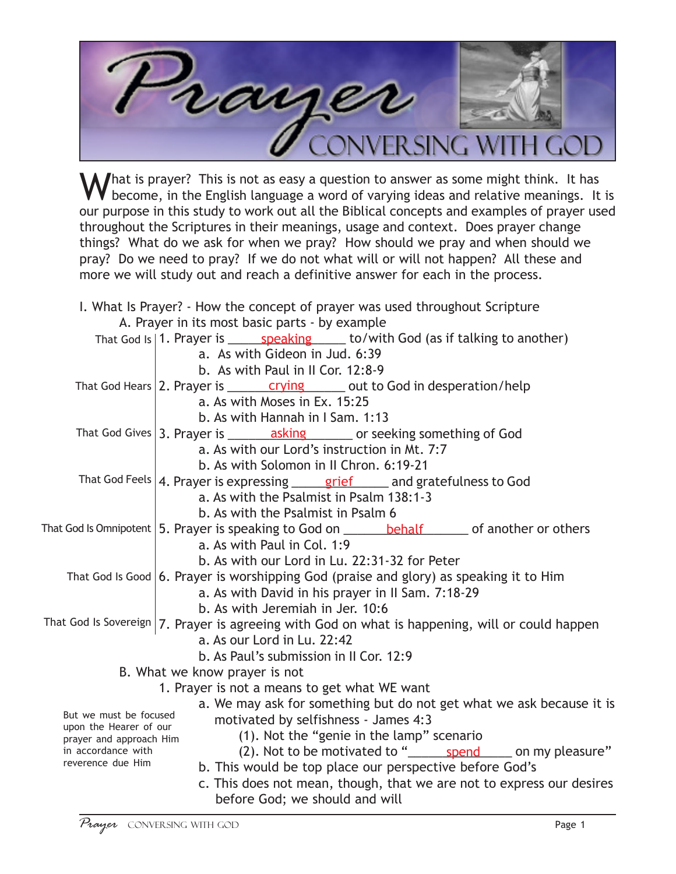

 $\Lambda$  hat is prayer? This is not as easy a question to answer as some might think. It has become, in the English language a word of varying ideas and relative meanings. It is our purpose in this study to work out all the Biblical concepts and examples of prayer used throughout the Scriptures in their meanings, usage and context. Does prayer change things? What do we ask for when we pray? How should we pray and when should we pray? Do we need to pray? If we do not what will or will not happen? All these and more we will study out and reach a definitive answer for each in the process.

|                                                  | I. What Is Prayer? - How the concept of prayer was used throughout Scripture                                       |
|--------------------------------------------------|--------------------------------------------------------------------------------------------------------------------|
|                                                  | A. Prayer in its most basic parts - by example                                                                     |
|                                                  | That God Is   1. Prayer is ______ speaking ______ to/with God (as if talking to another)                           |
|                                                  | a. As with Gideon in Jud. 6:39                                                                                     |
|                                                  | b. As with Paul in II Cor. 12:8-9                                                                                  |
|                                                  | That God Hears 2. Prayer is $\frac{crying}{\sqrt{c} \cdot \sqrt{c}}$ out to God in desperation/help                |
|                                                  | a. As with Moses in Ex. 15:25                                                                                      |
|                                                  | b. As with Hannah in I Sam. 1:13                                                                                   |
|                                                  | That God Gives $ 3$ . Prayer is $\frac{1}{\sqrt{2}}$ asking $\frac{1}{\sqrt{2}}$ or seeking something of God       |
|                                                  | a. As with our Lord's instruction in Mt. 7:7                                                                       |
|                                                  | b. As with Solomon in II Chron. 6:19-21                                                                            |
|                                                  | That God Feels   4. Prayer is expressing $\frac{\text{grief}}{\text{grief}}$ and gratefulness to God               |
|                                                  | a. As with the Psalmist in Psalm 138:1-3                                                                           |
|                                                  | b. As with the Psalmist in Psalm 6                                                                                 |
|                                                  | That God Is Omnipotent $\vert$ 5. Prayer is speaking to God on $\_\_\_\_\_\$ behalf $\_\_\_\$ of another or others |
|                                                  | a. As with Paul in Col. 1:9                                                                                        |
|                                                  | b. As with our Lord in Lu. 22:31-32 for Peter                                                                      |
|                                                  | That God Is Good $ 6$ . Prayer is worshipping God (praise and glory) as speaking it to Him                         |
|                                                  | a. As with David in his prayer in II Sam. 7:18-29                                                                  |
|                                                  | b. As with Jeremiah in Jer. 10:6                                                                                   |
|                                                  | That God Is Sovereign   7. Prayer is agreeing with God on what is happening, will or could happen                  |
|                                                  | a. As our Lord in Lu. 22:42                                                                                        |
|                                                  | b. As Paul's submission in II Cor. 12:9                                                                            |
|                                                  | B. What we know prayer is not                                                                                      |
|                                                  | 1. Prayer is not a means to get what WE want                                                                       |
|                                                  | a. We may ask for something but do not get what we ask because it is                                               |
| But we must be focused<br>upon the Hearer of our | motivated by selfishness - James 4:3                                                                               |
| prayer and approach Him                          | (1). Not the "genie in the lamp" scenario                                                                          |
| in accordance with                               | (2). Not to be motivated to " spend singleright on my pleasure"                                                    |
| reverence due Him                                | b. This would be top place our perspective before God's                                                            |
|                                                  | c. This does not mean, though, that we are not to express our desires                                              |
|                                                  | before God; we should and will                                                                                     |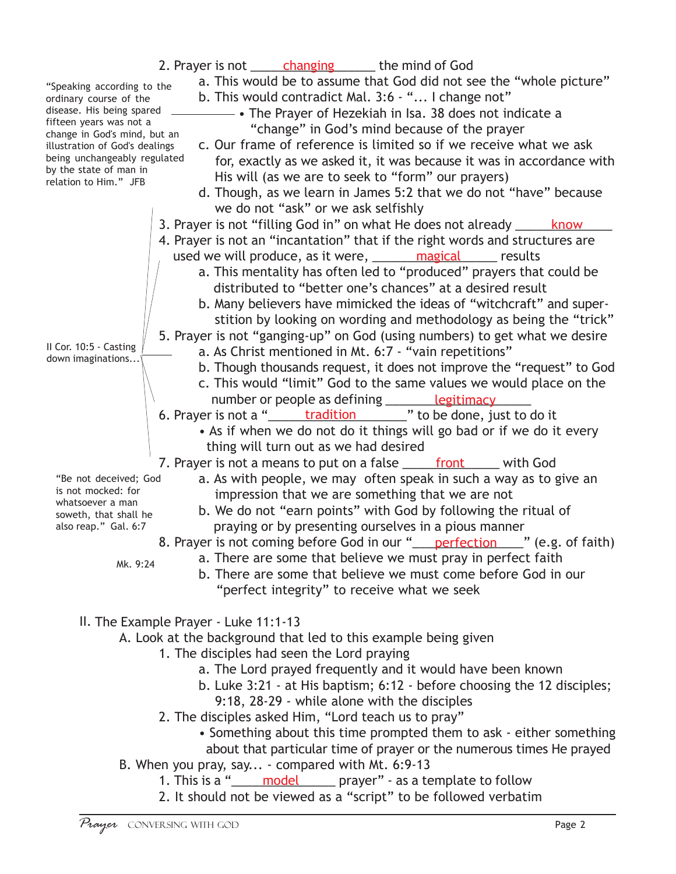| 2. Prayer is not <u>changing</u> the mind of God<br>a. This would be to assume that God did not see the "whole picture"<br>"Speaking according to the<br>b. This would contradict Mal. 3:6 - " I change not"<br>ordinary course of the<br>disease. His being spared<br>The Prayer of Hezekiah in Isa. 38 does not indicate a<br>fifteen years was not a<br>"change" in God's mind because of the prayer<br>change in God's mind, but an<br>c. Our frame of reference is limited so if we receive what we ask<br>illustration of God's dealings<br>being unchangeably regulated<br>for, exactly as we asked it, it was because it was in accordance with<br>by the state of man in<br>His will (as we are to seek to "form" our prayers)<br>relation to Him." JFB<br>d. Though, as we learn in James 5:2 that we do not "have" because |  |
|---------------------------------------------------------------------------------------------------------------------------------------------------------------------------------------------------------------------------------------------------------------------------------------------------------------------------------------------------------------------------------------------------------------------------------------------------------------------------------------------------------------------------------------------------------------------------------------------------------------------------------------------------------------------------------------------------------------------------------------------------------------------------------------------------------------------------------------|--|
| we do not "ask" or we ask selfishly<br>3. Prayer is not "filling God in" on what He does not already ______ know<br>4. Prayer is not an "incantation" that if the right words and structures are<br>used we will produce, as it were, <u>______ magical</u> _____ results                                                                                                                                                                                                                                                                                                                                                                                                                                                                                                                                                             |  |
| a. This mentality has often led to "produced" prayers that could be<br>distributed to "better one's chances" at a desired result<br>b. Many believers have mimicked the ideas of "witchcraft" and super-<br>stition by looking on wording and methodology as being the "trick"                                                                                                                                                                                                                                                                                                                                                                                                                                                                                                                                                        |  |
| 5. Prayer is not "ganging-up" on God (using numbers) to get what we desire<br>Il Cor. 10:5 - Casting<br>a. As Christ mentioned in Mt. 6:7 - "vain repetitions"<br>down imaginations<br>b. Though thousands request, it does not improve the "request" to God<br>c. This would "limit" God to the same values we would place on the                                                                                                                                                                                                                                                                                                                                                                                                                                                                                                    |  |
| number or people as defining _______ legitimacy<br>6. Prayer is not a " <u>tradition</u> " to be done, just to do it<br>• As if when we do not do it things will go bad or if we do it every<br>thing will turn out as we had desired                                                                                                                                                                                                                                                                                                                                                                                                                                                                                                                                                                                                 |  |
| 7. Prayer is not a means to put on a false ______ front ______ with God<br>a. As with people, we may often speak in such a way as to give an<br>"Be not deceived; God<br>is not mocked: for<br>impression that we are something that we are not<br>whatsoever a man<br>b. We do not "earn points" with God by following the ritual of<br>soweth, that shall he<br>praying or by presenting ourselves in a pious manner<br>also reap." Gal. 6:7<br>8. Prayer is not coming before God in our " perfection (e.g. of faith)<br>a. There are some that believe we must pray in perfect faith<br>Mk. 9:24                                                                                                                                                                                                                                  |  |
| b. There are some that believe we must come before God in our<br>"perfect integrity" to receive what we seek                                                                                                                                                                                                                                                                                                                                                                                                                                                                                                                                                                                                                                                                                                                          |  |

II. The Example Prayer - Luke 11:1-13

A. Look at the background that led to this example being given

- 1. The disciples had seen the Lord praying
	- a. The Lord prayed frequently and it would have been known
	- b. Luke 3:21 at His baptism; 6:12 before choosing the 12 disciples;
		- 9:18, 28-29 while alone with the disciples
- 2. The disciples asked Him, "Lord teach us to pray"
	- Something about this time prompted them to ask either something about that particular time of prayer or the numerous times He prayed
- B. When you pray, say... compared with Mt. 6:9-13
	- 1. This is a "\_\_\_\_\_\_ model\_\_\_\_\_\_\_ prayer" as a template to follow
		- 2. It should not be viewed as a "script" to be followed verbatim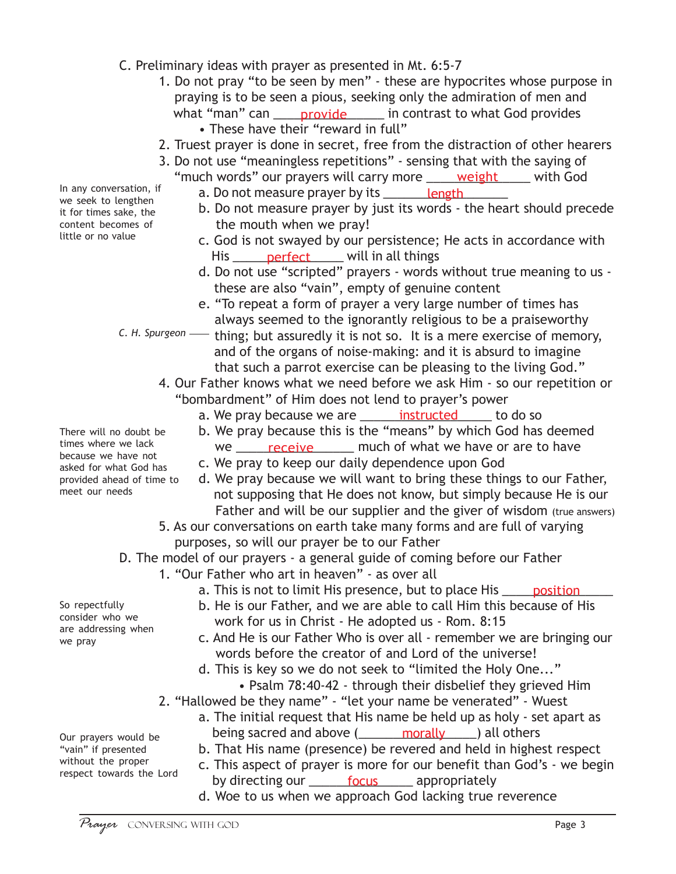- C. Preliminary ideas with prayer as presented in Mt. 6:5-7
	- 1. Do not pray "to be seen by men" these are hypocrites whose purpose in praying is to be seen a pious, seeking only the admiration of men and what "man" can \_\_\_\_\_ provide \_\_\_\_\_\_\_ in contrast to what God provides • These have their "reward in full"
	- 2. Truest prayer is done in secret, free from the distraction of other hearers
	- 3. Do not use "meaningless repetitions" sensing that with the saying of "much words" our prayers will carry more <u>\_\_\_\_\_\_weight\_\_\_\_\_\_</u>\_ with God
		- a. Do not measure prayer by its \_\_\_\_\_\_\_\_<u>length\_</u>\_\_\_\_\_\_
		- b. Do not measure prayer by just its words the heart should precede the mouth when we pray!
		- c. God is not swayed by our persistence; He acts in accordance with His <u>\_\_\_\_\_\_\_ perfect</u> \_\_\_\_\_\_ will in all things
		- d. Do not use "scripted" prayers words without true meaning to us these are also "vain", empty of genuine content
		- e. "To repeat a form of prayer a very large number of times has always seemed to the ignorantly religious to be a praiseworthy

*C. H. Spurgeon* — thing; but assuredly it is not so. It is a mere exercise of memory, and of the organs of noise-making: and it is absurd to imagine that such a parrot exercise can be pleasing to the living God."

- 4. Our Father knows what we need before we ask Him so our repetition or "bombardment" of Him does not lend to prayer's power
	- a. We pray because we are <u>entity instructed</u> to do so
	- b. We pray because this is the "means" by which God has deemed
	- we <u>receive</u> much of what we have or are to have
	- c. We pray to keep our daily dependence upon God
	- d. We pray because we will want to bring these things to our Father, not supposing that He does not know, but simply because He is our Father and will be our supplier and the giver of wisdom (true answers)
- 5. As our conversations on earth take many forms and are full of varying purposes, so will our prayer be to our Father
- D. The model of our prayers a general guide of coming before our Father
	- 1. "Our Father who art in heaven" as over all
		- a. This is not to limit His presence, but to place His \_\_\_\_\_ position \_\_\_\_\_
		- b. He is our Father, and we are able to call Him this because of His work for us in Christ - He adopted us - Rom. 8:15
		- c. And He is our Father Who is over all remember we are bringing our words before the creator of and Lord of the universe!
		- d. This is key so we do not seek to "limited the Holy One..."
			- Psalm 78:40-42 through their disbelief they grieved Him
	- 2. "Hallowed be they name" "let your name be venerated" Wuest
		- a. The initial request that His name be held up as holy set apart as being sacred and above (**inclube and above** morally and others
		- b. That His name (presence) be revered and held in highest respect
		- c. This aspect of prayer is more for our benefit than God's we begin by directing our <u>entil ocus</u> appropriately
		- d. Woe to us when we approach God lacking true reverence

In any conversation, if we seek to lengthen it for times sake, the content becomes of little or no value

There will no doubt be times where we lack because we have not asked for what God has provided ahead of time to meet our needs

consider who we are addressing when we pray

Our prayers would be "vain" if presented without the proper respect towards the Lord

So repectfully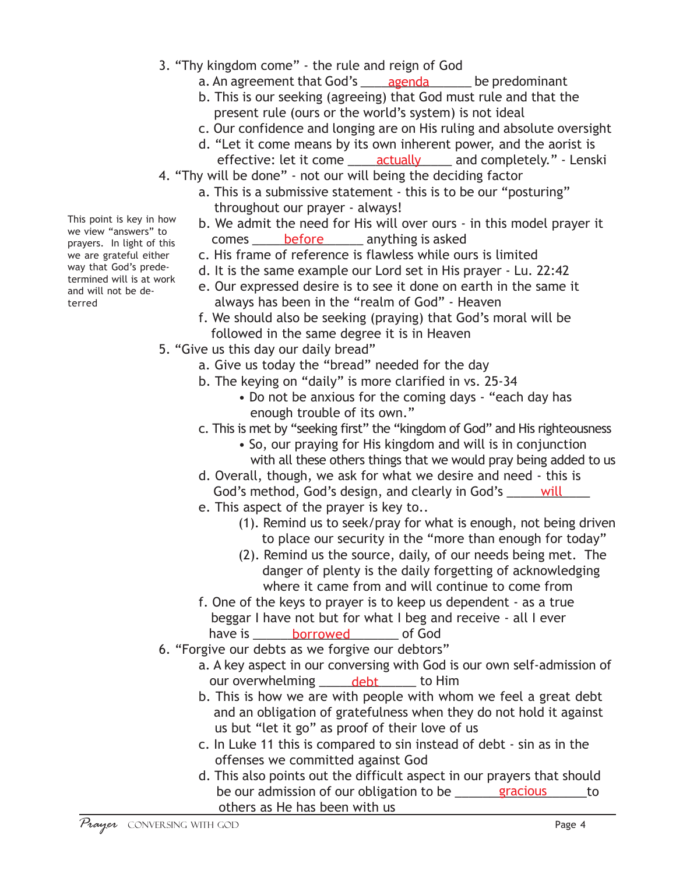- 3. "Thy kingdom come" the rule and reign of God
	- a. An agreement that God's \_\_\_\_\_<u>agenda</u>\_\_\_\_\_\_\_\_ be predominant
	- b. This is our seeking (agreeing) that God must rule and that the present rule (ours or the world's system) is not ideal
	- c. Our confidence and longing are on His ruling and absolute oversight
	- d. "Let it come means by its own inherent power, and the aorist is
	- effective: let it come <u>\_\_\_\_\_\_actually</u> \_\_\_\_\_\_ and completely." Lenski
- 4. "Thy will be done" not our will being the deciding factor
	- a. This is a submissive statement this is to be our "posturing" throughout our prayer - always!
	- b. We admit the need for His will over ours in this model prayer it comes <u>Latin before</u> anything is asked
	- c. His frame of reference is flawless while ours is limited
	- d. It is the same example our Lord set in His prayer Lu. 22:42
	- e. Our expressed desire is to see it done on earth in the same it always has been in the "realm of God" - Heaven
	- f. We should also be seeking (praying) that God's moral will be followed in the same degree it is in Heaven
- 5. "Give us this day our daily bread"
	- a. Give us today the "bread" needed for the day
	- b. The keying on "daily" is more clarified in vs. 25-34
		- Do not be anxious for the coming days "each day has enough trouble of its own."
	- c. This is met by "seeking first" the "kingdom of God" and His righteousness
		- So, our praying for His kingdom and will is in conjunction with all these others things that we would pray being added to us
	- d. Overall, though, we ask for what we desire and need this is God's method, God's design, and clearly in God's \_\_\_\_\_\_ will\_\_\_\_\_
	- e. This aspect of the prayer is key to..
		- (1). Remind us to seek/pray for what is enough, not being driven to place our security in the "more than enough for today"
		- (2). Remind us the source, daily, of our needs being met. The danger of plenty is the daily forgetting of acknowledging where it came from and will continue to come from
	- f. One of the keys to prayer is to keep us dependent as a true beggar I have not but for what I beg and receive - all I ever have is \_\_\_\_\_\_\_\_<u>borrowed</u> \_\_\_\_\_\_\_\_ of God
- 6. "Forgive our debts as we forgive our debtors"
	- a. A key aspect in our conversing with God is our own self-admission of our overwhelming <u>endebt</u> and Him
	- b. This is how we are with people with whom we feel a great debt and an obligation of gratefulness when they do not hold it against us but "let it go" as proof of their love of us
	- c. In Luke 11 this is compared to sin instead of debt sin as in the offenses we committed against God
	- d. This also points out the difficult aspect in our prayers that should be our admission of our obligation to be <u>equilibrations</u> extintion others as He has been with us

This point is key in how we view "answers" to prayers. In light of this we are grateful either way that God's predetermined will is at work and will not be deterred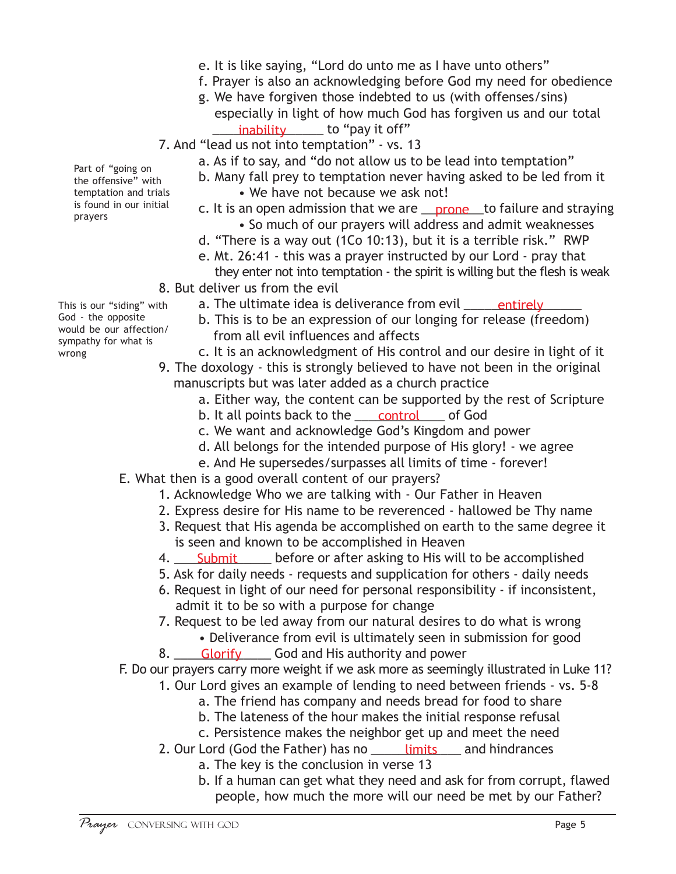- e. It is like saying, "Lord do unto me as I have unto others"
- f. Prayer is also an acknowledging before God my need for obedience
- g. We have forgiven those indebted to us (with offenses/sins) especially in light of how much God has forgiven us and our total <u>\_\_\_\_\_\_\_inability\_\_\_\_\_\_\_</u> to "pay it off"
- 7. And "lead us not into temptation" vs. 13
	- a. As if to say, and "do not allow us to be lead into temptation"
	- b. Many fall prey to temptation never having asked to be led from it
		- We have not because we ask not!
	- c. It is an open admission that we are <u>\_\_\_prone\_\_\_</u>to failure and straying • So much of our prayers will address and admit weaknesses
	- d. "There is a way out (1Co 10:13), but it is a terrible risk." RWP
	- e. Mt. 26:41 this was a prayer instructed by our Lord pray that
	- they enter not into temptation the spirit is willing but the flesh is weak
- 8. But deliver us from the evil This is our "siding" with
	- a. The ultimate idea is deliverance from evil \_\_\_\_\_\_<u>entirely\_\_\_\_\_\_</u>
		- b. This is to be an expression of our longing for release (freedom) from all evil influences and affects
		- c. It is an acknowledgment of His control and our desire in light of it
	- 9. The doxology this is strongly believed to have not been in the original manuscripts but was later added as a church practice
		- a. Either way, the content can be supported by the rest of Scripture
		- b. It all points back to the \_\_\_\_\_<u>control</u> \_\_\_\_\_ of God
		- c. We want and acknowledge God's Kingdom and power
		- d. All belongs for the intended purpose of His glory! we agree
		- e. And He supersedes/surpasses all limits of time forever!
	- E. What then is a good overall content of our prayers?
		- 1. Acknowledge Who we are talking with Our Father in Heaven
		- 2. Express desire for His name to be reverenced hallowed be Thy name
		- 3. Request that His agenda be accomplished on earth to the same degree it is seen and known to be accomplished in Heaven
		- 4. <u>Submit sume before or after asking to His will to be accomplished</u>
		- 5. Ask for daily needs requests and supplication for others daily needs
		- 6. Request in light of our need for personal responsibility if inconsistent, admit it to be so with a purpose for change
		- 7. Request to be led away from our natural desires to do what is wrong • Deliverance from evil is ultimately seen in submission for good
		- 8. <u>Glorify</u> Cod and His authority and power

F. Do our prayers carry more weight if we ask more as seemingly illustrated in Luke 11?

- 1. Our Lord gives an example of lending to need between friends vs. 5-8
	- a. The friend has company and needs bread for food to share
	- b. The lateness of the hour makes the initial response refusal
	- c. Persistence makes the neighbor get up and meet the need
- 2. Our Lord (God the Father) has no \_\_\_\_\_\_<u>limits</u> \_\_\_\_ and hindrances
	- a. The key is the conclusion in verse 13
	- b. If a human can get what they need and ask for from corrupt, flawed people, how much the more will our need be met by our Father?

Part of "going on the offensive" with temptation and trials is found in our initial prayers

God - the opposite would be our affection/ sympathy for what is

wrong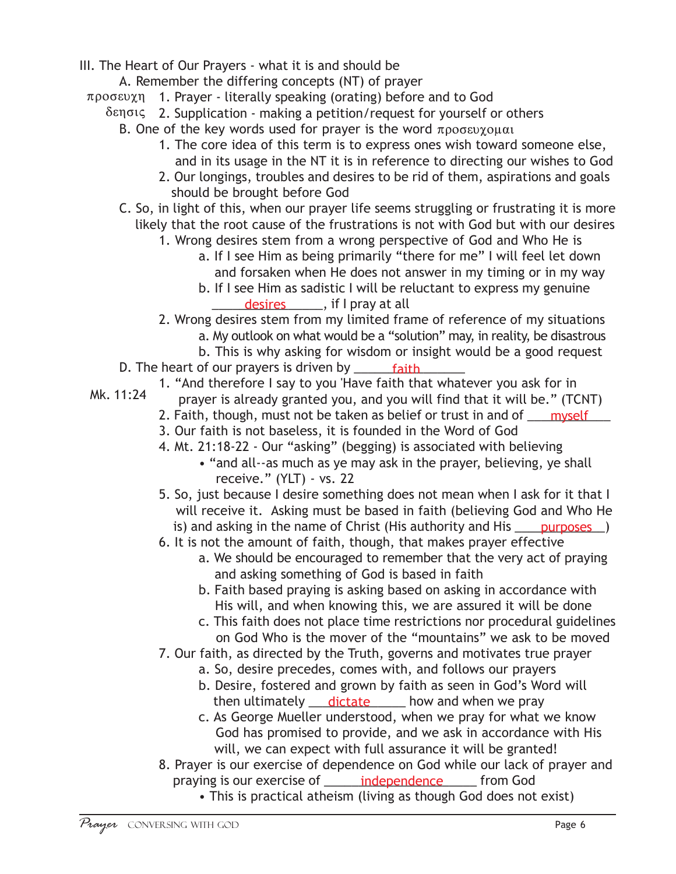- III. The Heart of Our Prayers what it is and should be
	- A. Remember the differing concepts (NT) of prayer
	- προσευχη 1. Prayer literally speaking (orating) before and to God
		- δεησις 2. Supplication making a petition/request for yourself or others
			- B. One of the key words used for prayer is the word  $\pi \rho o \sigma \epsilon v \chi o \mu \alpha$ 
				- 1. The core idea of this term is to express ones wish toward someone else, and in its usage in the NT it is in reference to directing our wishes to God
				- 2. Our longings, troubles and desires to be rid of them, aspirations and goals should be brought before God
			- C. So, in light of this, when our prayer life seems struggling or frustrating it is more likely that the root cause of the frustrations is not with God but with our desires
				- 1. Wrong desires stem from a wrong perspective of God and Who He is
					- a. If I see Him as being primarily "there for me" I will feel let down and forsaken when He does not answer in my timing or in my way
					- b. If I see Him as sadistic I will be reluctant to express my genuine desires \_\_\_\_\_, if I pray at all
				- 2. Wrong desires stem from my limited frame of reference of my situations
					- a. My outlook on what would be a "solution" may, in reality, be disastrous
					- b. This is why asking for wisdom or insight would be a good request
			- D. The heart of our prayers is driven by \_\_\_\_\_\_\_\_\_\_\_\_\_\_\_\_ faith
				- 1. "And therefore I say to you 'Have faith that whatever you ask for in
					- prayer is already granted you, and you will find that it will be." (TCNT)
					- 2. Faith, though, must not be taken as belief or trust in and of \_\_\_\_\_<u>myself</u> \_\_\_
					- 3. Our faith is not baseless, it is founded in the Word of God
					- 4. Mt. 21:18-22 Our "asking" (begging) is associated with believing
						- "and all--as much as ye may ask in the prayer, believing, ye shall receive." (YLT) - vs. 22
					- 5. So, just because I desire something does not mean when I ask for it that I will receive it. Asking must be based in faith (believing God and Who He is) and asking in the name of Christ (His authority and His <u>equiposes</u>)
					- 6. It is not the amount of faith, though, that makes prayer effective
						- a. We should be encouraged to remember that the very act of praying and asking something of God is based in faith
							- b. Faith based praying is asking based on asking in accordance with His will, and when knowing this, we are assured it will be done
							- c. This faith does not place time restrictions nor procedural guidelines on God Who is the mover of the "mountains" we ask to be moved
					- 7. Our faith, as directed by the Truth, governs and motivates true prayer
						- a. So, desire precedes, comes with, and follows our prayers
						- b. Desire, fostered and grown by faith as seen in God's Word will then ultimately <u>dictate</u> thow and when we pray
						- c. As George Mueller understood, when we pray for what we know God has promised to provide, and we ask in accordance with His will, we can expect with full assurance it will be granted!
				- 8. Prayer is our exercise of dependence on God while our lack of prayer and praying is our exercise of <u>early independence</u> from God
					- This is practical atheism (living as though God does not exist)

Mk. 11:24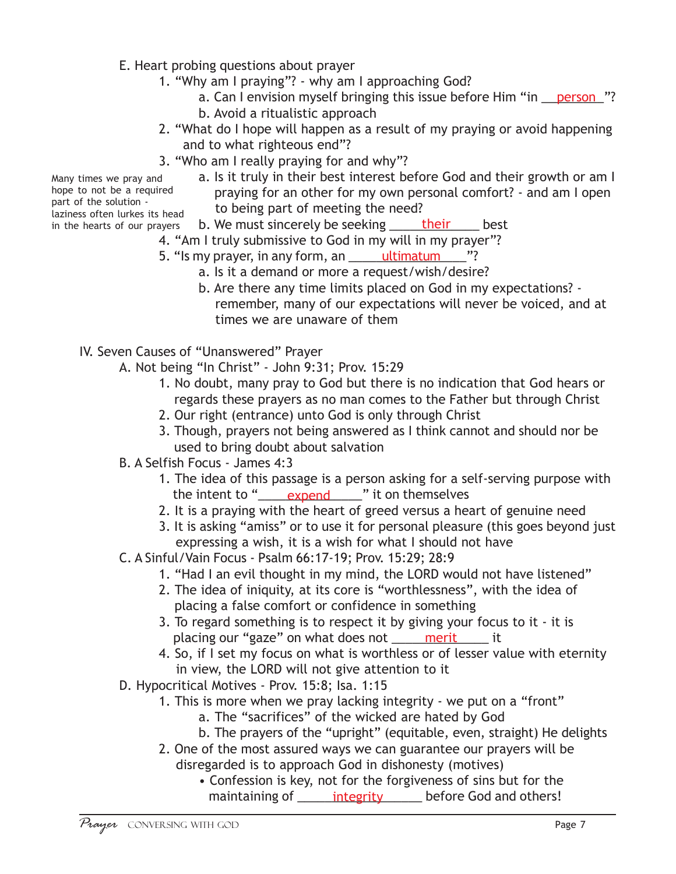- E. Heart probing questions about prayer
	- 1. "Why am I praying"? why am I approaching God?
		- a. Can I envision myself bringing this issue before Him "in <u>\_\_\_\_person\_\_</u>"? b. Avoid a ritualistic approach
	- 2. "What do I hope will happen as a result of my praying or avoid happening and to what righteous end"?
	- 3. "Who am I really praying for and why"?
		- a. Is it truly in their best interest before God and their growth or am I praying for an other for my own personal comfort? - and am I open to being part of meeting the need?
- laziness often lurkes its head in the hearts of our prayers

Many times we pray and hope to not be a required part of the solution -

- b. We must sincerely be seeking <u>\_\_\_\_\_\_their</u> \_\_\_\_\_ best
- 4. "Am I truly submissive to God in my will in my prayer"?
- 5. "Is my prayer, in any form, an \_\_\_\_\_\_<u>ultimatum\_\_\_\_\_</u>"?
	- a. Is it a demand or more a request/wish/desire?
	- b. Are there any time limits placed on God in my expectations? remember, many of our expectations will never be voiced, and at times we are unaware of them
- IV. Seven Causes of "Unanswered" Prayer
	- A. Not being "In Christ" John 9:31; Prov. 15:29
		- 1. No doubt, many pray to God but there is no indication that God hears or regards these prayers as no man comes to the Father but through Christ
		- 2. Our right (entrance) unto God is only through Christ
		- 3. Though, prayers not being answered as I think cannot and should nor be used to bring doubt about salvation
	- B. A Selfish Focus James 4:3
		- 1. The idea of this passage is a person asking for a self-serving purpose with the intent to "<u>\_\_\_\_\_expend</u>\_\_\_\_\_" it on themselves
		- 2. It is a praying with the heart of greed versus a heart of genuine need
		- 3. It is asking "amiss" or to use it for personal pleasure (this goes beyond just expressing a wish, it is a wish for what I should not have
	- C. A Sinful/Vain Focus Psalm 66:17-19; Prov. 15:29; 28:9
		- 1. "Had I an evil thought in my mind, the LORD would not have listened"
		- 2. The idea of iniquity, at its core is "worthlessness", with the idea of placing a false comfort or confidence in something
		- 3. To regard something is to respect it by giving your focus to it it is placing our "gaze" on what does not \_\_\_\_\_\_\_\_\_\_\_\_\_\_\_\_\_\_\_\_ it
		- 4. So, if I set my focus on what is worthless or of lesser value with eternity in view, the LORD will not give attention to it
	- D. Hypocritical Motives Prov. 15:8; Isa. 1:15
		- 1. This is more when we pray lacking integrity we put on a "front"
			- a. The "sacrifices" of the wicked are hated by God
			- b. The prayers of the "upright" (equitable, even, straight) He delights
		- 2. One of the most assured ways we can guarantee our prayers will be disregarded is to approach God in dishonesty (motives)
			- Confession is key, not for the forgiveness of sins but for the maintaining of <u>each-integrity</u> enterphene God and others!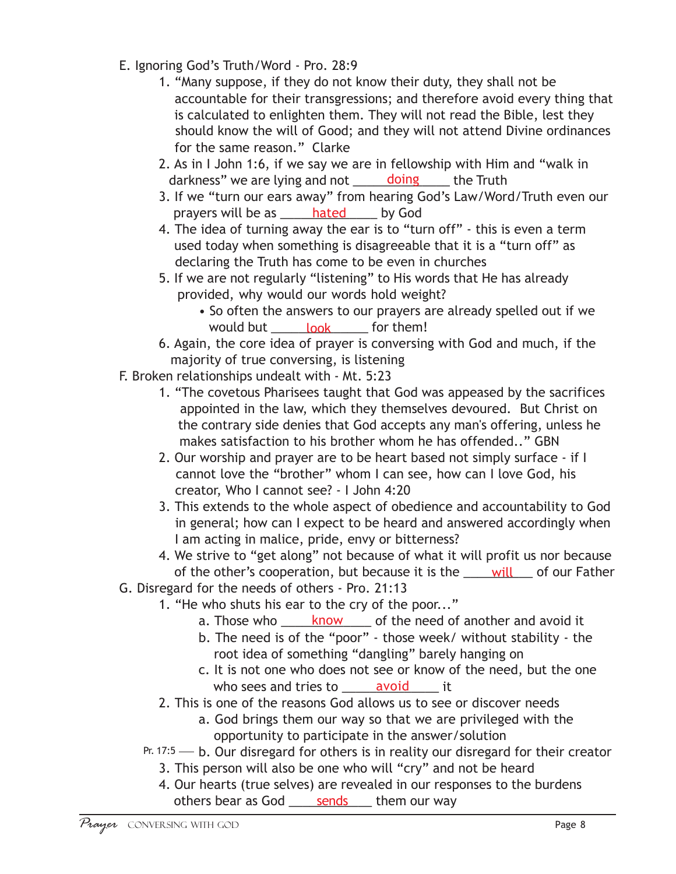- E. Ignoring God's Truth/Word Pro. 28:9
	- 1. "Many suppose, if they do not know their duty, they shall not be accountable for their transgressions; and therefore avoid every thing that is calculated to enlighten them. They will not read the Bible, lest they should know the will of Good; and they will not attend Divine ordinances for the same reason." Clarke
	- 2. As in I John 1:6, if we say we are in fellowship with Him and "walk in darkness" we are lying and not **\_\_\_\_\_\_\_doing** \_\_\_\_\_ the Truth
	- 3. If we "turn our ears away" from hearing God's Law/Word/Truth even our prayers will be as <u>\_\_\_\_\_\_hated</u> \_\_\_\_\_\_ by God
	- 4. The idea of turning away the ear is to "turn off" this is even a term used today when something is disagreeable that it is a "turn off" as declaring the Truth has come to be even in churches
	- 5. If we are not regularly "listening" to His words that He has already provided, why would our words hold weight?
		- So often the answers to our prayers are already spelled out if we would but <u>cook</u> for them!
	- 6. Again, the core idea of prayer is conversing with God and much, if the majority of true conversing, is listening
- F. Broken relationships undealt with Mt. 5:23
	- 1. "The covetous Pharisees taught that God was appeased by the sacrifices appointed in the law, which they themselves devoured. But Christ on the contrary side denies that God accepts any man's offering, unless he makes satisfaction to his brother whom he has offended.." GBN
	- 2. Our worship and prayer are to be heart based not simply surface if I cannot love the "brother" whom I can see, how can I love God, his creator, Who I cannot see? - I John 4:20
	- 3. This extends to the whole aspect of obedience and accountability to God in general; how can I expect to be heard and answered accordingly when I am acting in malice, pride, envy or bitterness?
	- 4. We strive to "get along" not because of what it will profit us nor because of the other's cooperation, but because it is the <u>sail will</u> and our Father
- G. Disregard for the needs of others Pro. 21:13
	- 1. "He who shuts his ear to the cry of the poor..."
		- a. Those who <u>each know</u> of the need of another and avoid it
		- b. The need is of the "poor" those week/ without stability the root idea of something "dangling" barely hanging on
		- c. It is not one who does not see or know of the need, but the one who sees and tries to <u>ear avoid</u> and
	- 2. This is one of the reasons God allows us to see or discover needs
		- a. God brings them our way so that we are privileged with the opportunity to participate in the answer/solution
	- Pr. 17:5  $-$  b. Our disregard for others is in reality our disregard for their creator
		- 3. This person will also be one who will "cry" and not be heard
		- 4. Our hearts (true selves) are revealed in our responses to the burdens others bear as God <u>sends</u> them our way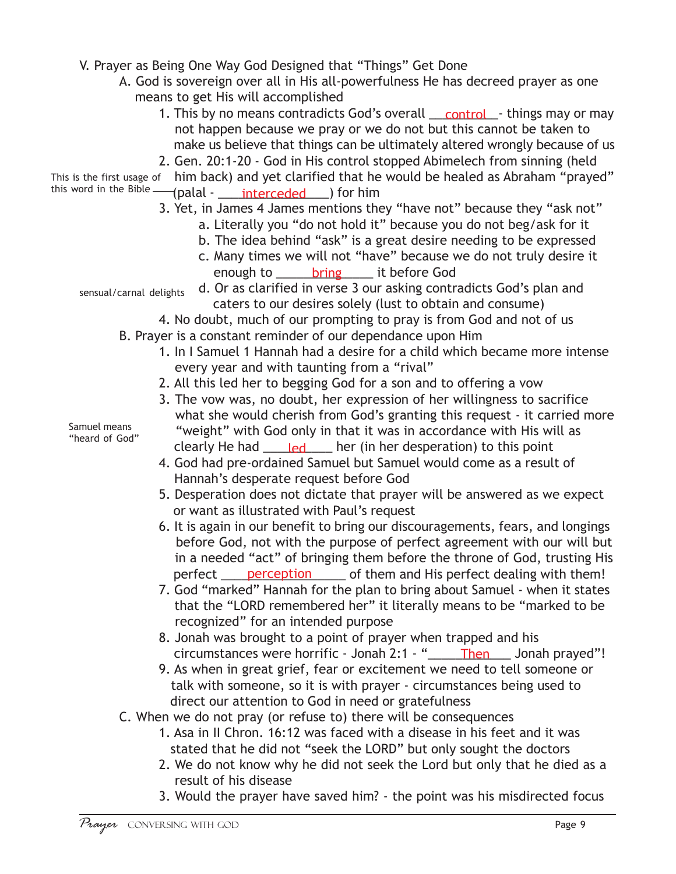V. Prayer as Being One Way God Designed that "Things" Get Done

- A. God is sovereign over all in His all-powerfulness He has decreed prayer as one means to get His will accomplished
	- 1. This by no means contradicts God's overall <u>control</u> things may or may not happen because we pray or we do not but this cannot be taken to make us believe that things can be ultimately altered wrongly because of us
- 2. Gen. 20:1-20 God in His control stopped Abimelech from sinning (held This is the first usage of  $\;$  him back) and yet clarified that he would be healed as Abraham "prayed"

this word in the <sup>Bible</sup> — (palal - <u>\_\_\_\_\_interceded\_\_\_\_</u>) for him

- 3. Yet, in James 4 James mentions they "have not" because they "ask not"
	- a. Literally you "do not hold it" because you do not beg/ask for it
	- b. The idea behind "ask" is a great desire needing to be expressed
	- c. Many times we will not "have" because we do not truly desire it enough to stating the series to be fore God
- d. Or as clarified in verse 3 our asking contradicts God's plan and caters to our desires solely (lust to obtain and consume) sensual/carnal delights
	- 4. No doubt, much of our prompting to pray is from God and not of us
	- B. Prayer is a constant reminder of our dependance upon Him
		- 1. In I Samuel 1 Hannah had a desire for a child which became more intense every year and with taunting from a "rival"
		- 2. All this led her to begging God for a son and to offering a vow
		- 3. The vow was, no doubt, her expression of her willingness to sacrifice what she would cherish from God's granting this request - it carried more "weight" with God only in that it was in accordance with His will as clearly He had \_\_\_\_\_\_\_\_\_\_\_\_\_\_ her (in her desperation) to this point
		- 4. God had pre-ordained Samuel but Samuel would come as a result of Hannah's desperate request before God
		- 5. Desperation does not dictate that prayer will be answered as we expect or want as illustrated with Paul's request
		- 6. It is again in our benefit to bring our discouragements, fears, and longings before God, not with the purpose of perfect agreement with our will but in a needed "act" of bringing them before the throne of God, trusting His perfect <u>perception</u> of them and His perfect dealing with them!
		- 7. God "marked" Hannah for the plan to bring about Samuel when it states that the "LORD remembered her" it literally means to be "marked to be recognized" for an intended purpose
		- 8. Jonah was brought to a point of prayer when trapped and his circumstances were horrific - Jonah 2:1 - "\_\_\_\_\_\_\_\_\_\_\_\_\_\_\_\_\_\_ Jonah prayed"!
		- 9. As when in great grief, fear or excitement we need to tell someone or talk with someone, so it is with prayer - circumstances being used to direct our attention to God in need or gratefulness
	- C. When we do not pray (or refuse to) there will be consequences
		- 1. Asa in II Chron. 16:12 was faced with a disease in his feet and it was stated that he did not "seek the LORD" but only sought the doctors
		- 2. We do not know why he did not seek the Lord but only that he died as a result of his disease
		- 3. Would the prayer have saved him? the point was his misdirected focus

Samuel means "heard of God"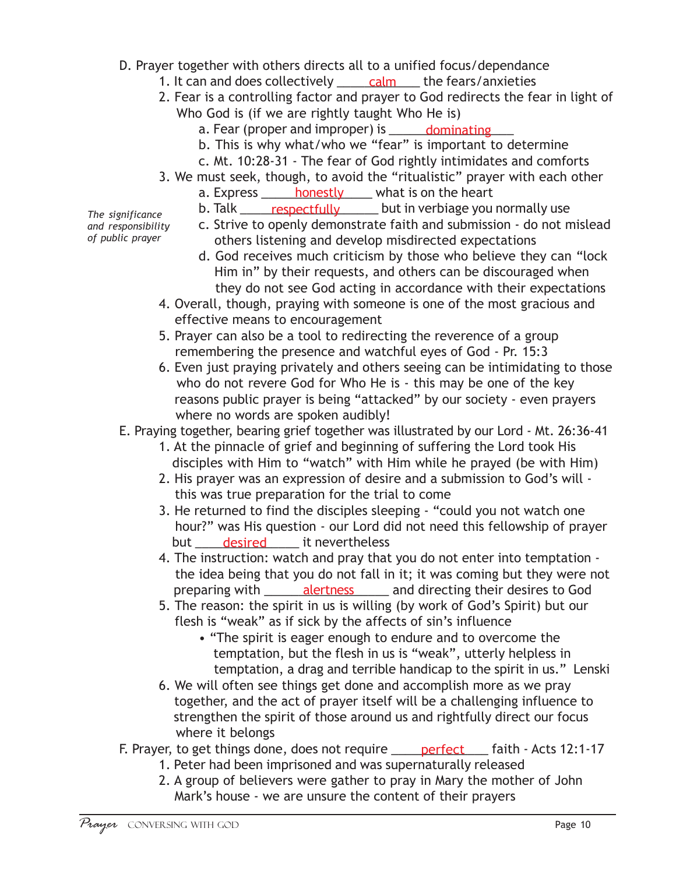- D. Prayer together with others directs all to a unified focus/dependance
	- 1. It can and does collectively \_\_\_\_\_\_ calm \_\_\_\_ the fears/anxieties
	- 2. Fear is a controlling factor and prayer to God redirects the fear in light of Who God is (if we are rightly taught Who He is)
		- a. Fear (proper and improper) is \_\_\_\_\_\_ dominating \_\_\_
		- b. This is why what/who we "fear" is important to determine
		- c. Mt. 10:28-31 The fear of God rightly intimidates and comforts
	- 3. We must seek, though, to avoid the "ritualistic" prayer with each other
		- a. Express \_\_\_\_\_\_ <u>honestly</u> \_\_\_\_ what is on the heart
		- b. Talk \_\_\_\_\_\_<u>respectfully</u> \_\_\_\_\_\_ but in verbiage you normally use
		- c. Strive to openly demonstrate faith and submission do not mislead others listening and develop misdirected expectations
			- d. God receives much criticism by those who believe they can "lock Him in" by their requests, and others can be discouraged when they do not see God acting in accordance with their expectations
	- 4. Overall, though, praying with someone is one of the most gracious and effective means to encouragement
	- 5. Prayer can also be a tool to redirecting the reverence of a group remembering the presence and watchful eyes of God - Pr. 15:3
	- 6. Even just praying privately and others seeing can be intimidating to those who do not revere God for Who He is - this may be one of the key reasons public prayer is being "attacked" by our society - even prayers where no words are spoken audibly!
- E. Praying together, bearing grief together was illustrated by our Lord Mt. 26:36-41
	- 1. At the pinnacle of grief and beginning of suffering the Lord took His disciples with Him to "watch" with Him while he prayed (be with Him)
	- 2. His prayer was an expression of desire and a submission to God's will this was true preparation for the trial to come
	- 3. He returned to find the disciples sleeping "could you not watch one hour?" was His question - our Lord did not need this fellowship of prayer but desired it nevertheless
	- 4. The instruction: watch and pray that you do not enter into temptation the idea being that you do not fall in it; it was coming but they were not preparing with \_\_\_\_\_\_\_\_\_<u>alertness</u> \_\_\_\_\_\_\_ and directing their desires to God
	- 5. The reason: the spirit in us is willing (by work of God's Spirit) but our flesh is "weak" as if sick by the affects of sin's influence
		- "The spirit is eager enough to endure and to overcome the temptation, but the flesh in us is "weak", utterly helpless in temptation, a drag and terrible handicap to the spirit in us." Lenski
	- 6. We will often see things get done and accomplish more as we pray together, and the act of prayer itself will be a challenging influence to strengthen the spirit of those around us and rightfully direct our focus where it belongs
- F. Prayer, to get things done, does not require <u>equeled faith</u> Acts 12:1-17
	- 1. Peter had been imprisoned and was supernaturally released
	- 2. A group of believers were gather to pray in Mary the mother of John Mark's house - we are unsure the content of their prayers

*The significance and responsibility of public prayer*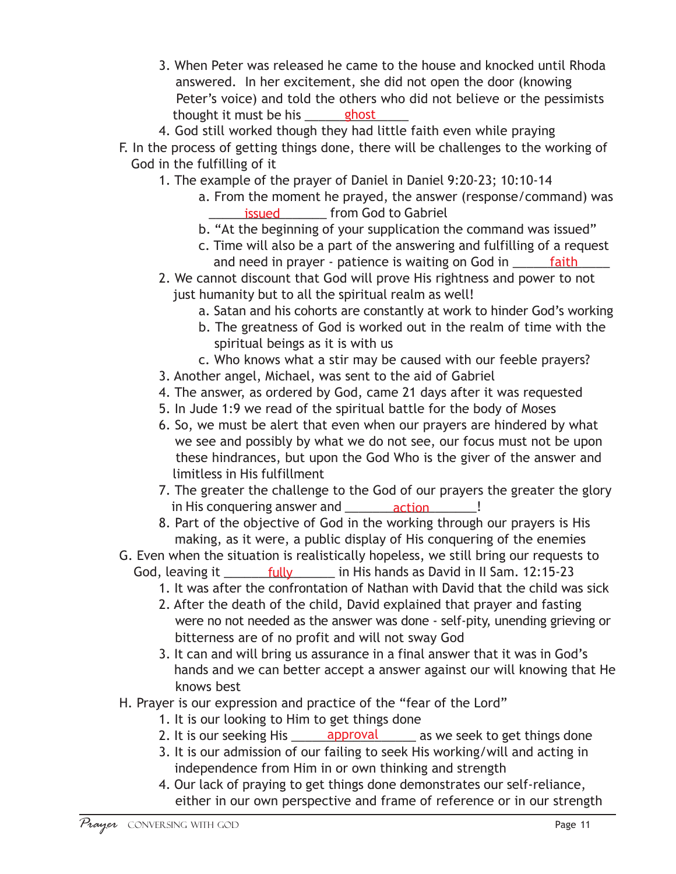- 3. When Peter was released he came to the house and knocked until Rhoda answered. In her excitement, she did not open the door (knowing Peter's voice) and told the others who did not believe or the pessimists thought it must be his <u>ends of the state of</u>
- 4. God still worked though they had little faith even while praying
- F. In the process of getting things done, there will be challenges to the working of God in the fulfilling of it
	- 1. The example of the prayer of Daniel in Daniel 9:20-23; 10:10-14
		- a. From the moment he prayed, the answer (response/command) was **EXECUTE:** Internal control of the Sabriel support of the Sabriel
		- b. "At the beginning of your supplication the command was issued"
		- c. Time will also be a part of the answering and fulfilling of a request and need in prayer - patience is waiting on God in \_\_\_\_\_\_\_ faith \_\_\_\_\_\_\_
	- 2. We cannot discount that God will prove His rightness and power to not just humanity but to all the spiritual realm as well!
		- a. Satan and his cohorts are constantly at work to hinder God's working
		- b. The greatness of God is worked out in the realm of time with the spiritual beings as it is with us
		- c. Who knows what a stir may be caused with our feeble prayers?
	- 3. Another angel, Michael, was sent to the aid of Gabriel
	- 4. The answer, as ordered by God, came 21 days after it was requested
	- 5. In Jude 1:9 we read of the spiritual battle for the body of Moses
	- 6. So, we must be alert that even when our prayers are hindered by what we see and possibly by what we do not see, our focus must not be upon these hindrances, but upon the God Who is the giver of the answer and limitless in His fulfillment
	- 7. The greater the challenge to the God of our prayers the greater the glory in His conquering answer and \_\_\_\_\_\_\_\_\_\_\_\_\_\_\_\_\_\_\_\_\_\_!
	- 8. Part of the objective of God in the working through our prayers is His making, as it were, a public display of His conquering of the enemies
- G. Even when the situation is realistically hopeless, we still bring our requests to God, leaving it \_\_\_\_\_\_\_\_\_fully \_\_\_\_\_\_\_ in His hands as David in II Sam. 12:15-23
	- 1. It was after the confrontation of Nathan with David that the child was sick
	- 2. After the death of the child, David explained that prayer and fasting were no not needed as the answer was done - self-pity, unending grieving or bitterness are of no profit and will not sway God
	- 3. It can and will bring us assurance in a final answer that it was in God's hands and we can better accept a answer against our will knowing that He knows best
- H. Prayer is our expression and practice of the "fear of the Lord"
	- 1. It is our looking to Him to get things done
	- 2. It is our seeking His \_\_\_\_\_\_\_ approval \_\_\_\_\_\_ as we seek to get things done
	- 3. It is our admission of our failing to seek His working/will and acting in independence from Him in or own thinking and strength
	- 4. Our lack of praying to get things done demonstrates our self-reliance, either in our own perspective and frame of reference or in our strength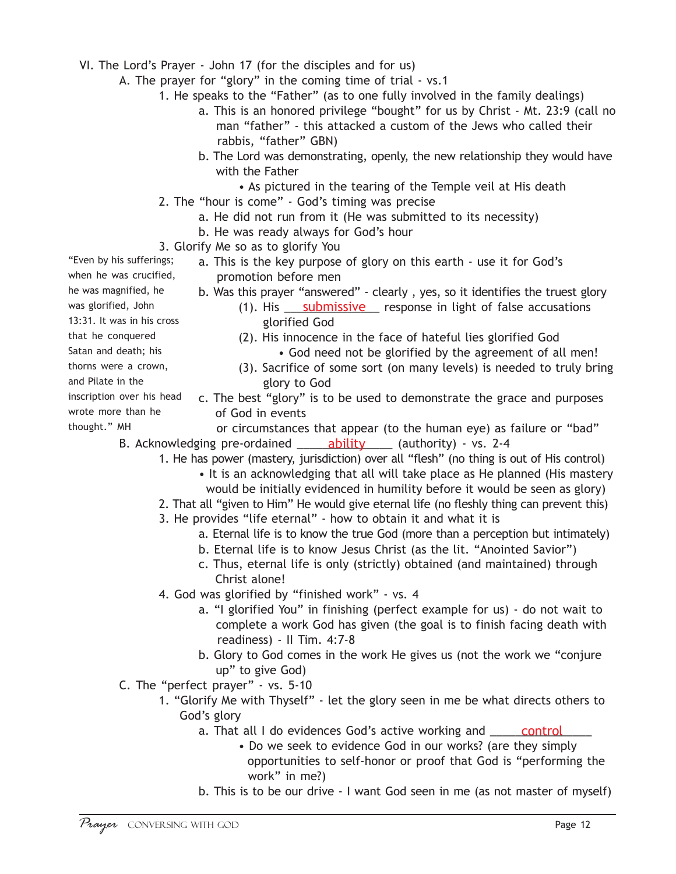- VI. The Lord's Prayer John 17 (for the disciples and for us)
	- A. The prayer for "glory" in the coming time of trial vs.1
		- 1. He speaks to the "Father" (as to one fully involved in the family dealings)
			- a. This is an honored privilege "bought" for us by Christ Mt. 23:9 (call no man "father" - this attacked a custom of the Jews who called their rabbis, "father" GBN)
			- b. The Lord was demonstrating, openly, the new relationship they would have with the Father
				- As pictured in the tearing of the Temple veil at His death
		- 2. The "hour is come" God's timing was precise
			- a. He did not run from it (He was submitted to its necessity)
			- b. He was ready always for God's hour
- 3. Glorify Me so as to glorify You "Even by his sufferings;
	- a. This is the key purpose of glory on this earth use it for God's promotion before men
		- b. Was this prayer "answered" clearly , yes, so it identifies the truest glory
			- (1). His **Submissive** response in light of false accusations glorified God
			- (2). His innocence in the face of hateful lies glorified God • God need not be glorified by the agreement of all men!
			- (3). Sacrifice of some sort (on many levels) is needed to truly bring glory to God
		- c. The best "glory" is to be used to demonstrate the grace and purposes of God in events
	- or circumstances that appear (to the human eye) as failure or "bad" B. Acknowledging pre-ordained \_\_\_\_\_\_\_\_\_\_\_\_\_\_\_\_\_\_\_\_\_\_\_ (authority) - vs. 2-4
		- 1. He has power (mastery, jurisdiction) over all "flesh" (no thing is out of His control)
			- It is an acknowledging that all will take place as He planned (His mastery would be initially evidenced in humility before it would be seen as glory)
			- 2. That all "given to Him" He would give eternal life (no fleshly thing can prevent this)
			- 3. He provides "life eternal" how to obtain it and what it is
				- a. Eternal life is to know the true God (more than a perception but intimately)
				- b. Eternal life is to know Jesus Christ (as the lit. "Anointed Savior")
				- c. Thus, eternal life is only (strictly) obtained (and maintained) through Christ alone!
			- 4. God was glorified by "finished work" vs. 4
				- a. "I glorified You" in finishing (perfect example for us) do not wait to complete a work God has given (the goal is to finish facing death with readiness) - II Tim. 4:7-8
				- b. Glory to God comes in the work He gives us (not the work we "conjure up" to give God)
	- C. The "perfect prayer" vs. 5-10
		- 1. "Glorify Me with Thyself" let the glory seen in me be what directs others to God's glory
			- a. That all I do evidences God's active working and \_\_\_\_\_\_\_\_\_\_\_\_\_\_\_\_\_\_\_\_\_\_\_\_\_\_\_\_
				- Do we seek to evidence God in our works? (are they simply opportunities to self-honor or proof that God is "performing the work" in me?)
			- b. This is to be our drive I want God seen in me (as not master of myself)

was glorified, John 13:31. It was in his cross that he conquered

when he was crucified, he was magnified, he

- Satan and death; his
- thorns were a crown,
- and Pilate in the
- inscription over his head
- wrote more than he
- thought." MH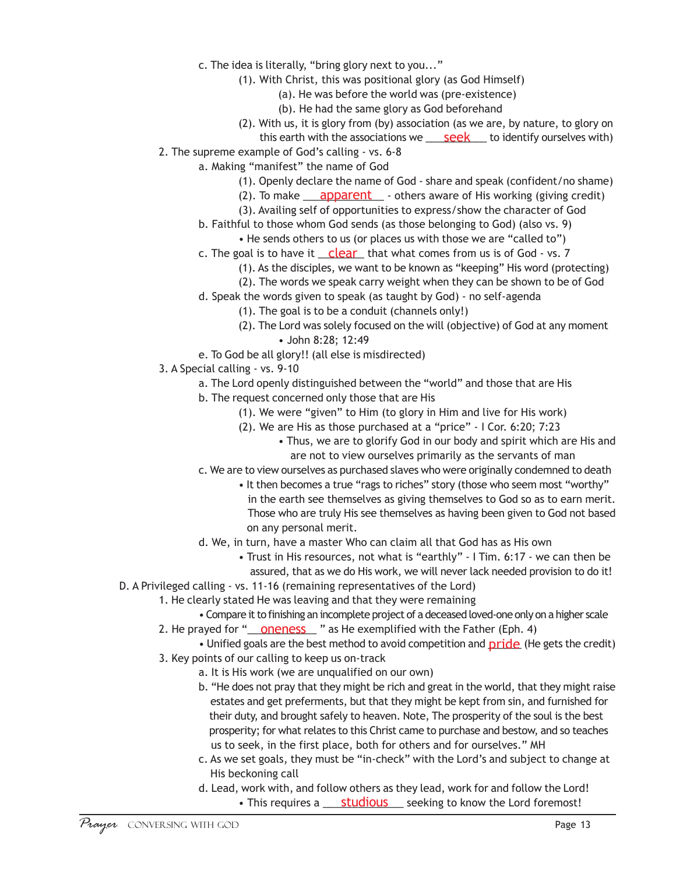- c. The idea is literally, "bring glory next to you..."
	- (1). With Christ, this was positional glory (as God Himself)
		- (a). He was before the world was (pre-existence)
		- (b). He had the same glory as God beforehand
	- (2). With us, it is glory from (by) association (as we are, by nature, to glory on this earth with the associations we **\_\_\_\_\_<u>seek</u>\_\_\_\_** to identify ourselves with)
- 2. The supreme example of God's calling vs. 6-8
	- a. Making "manifest" the name of God
		- (1). Openly declare the name of God share and speak (confident/no shame)
		- (2). To make <u>apparent</u> others aware of His working (giving credit)
		- (3). Availing self of opportunities to express/show the character of God
		- b. Faithful to those whom God sends (as those belonging to God) (also vs. 9)
			- He sends others to us (or places us with those we are "called to")
		- c. The goal is to have it \_\_\_<mark>clear\_</mark>\_ that what comes from us is of God vs. 7
			- (1). As the disciples, we want to be known as "keeping" His word (protecting)
			- (2). The words we speak carry weight when they can be shown to be of God
		- d. Speak the words given to speak (as taught by God) no self-agenda
			- (1). The goal is to be a conduit (channels only!)
			- (2). The Lord was solely focused on the will (objective) of God at any moment • John 8:28; 12:49
		- e. To God be all glory!! (all else is misdirected)
- 3. A Special calling vs. 9-10
	- a. The Lord openly distinguished between the "world" and those that are His
	- b. The request concerned only those that are His
		- (1). We were "given" to Him (to glory in Him and live for His work)
		- (2). We are His as those purchased at a "price" I Cor. 6:20; 7:23
			- Thus, we are to glorify God in our body and spirit which are His and are not to view ourselves primarily as the servants of man
	- c. We are to view ourselves as purchased slaves who were originally condemned to death
		- It then becomes a true "rags to riches" story (those who seem most "worthy" in the earth see themselves as giving themselves to God so as to earn merit. Those who are truly His see themselves as having been given to God not based on any personal merit.
	- d. We, in turn, have a master Who can claim all that God has as His own
		- Trust in His resources, not what is "earthly" I Tim. 6:17 we can then be assured, that as we do His work, we will never lack needed provision to do it!
- D. A Privileged calling vs. 11-16 (remaining representatives of the Lord)
	- 1. He clearly stated He was leaving and that they were remaining
		- Compare it to finishing an incomplete project of a deceased loved-one only on a higher scale
	- 2. He prayed for "<u>\_\_\_<mark>oneness</mark>\_\_\_</u> " as He exemplified with the Father (Eph. 4)
		- Unified goals are the best method to avoid competition and pride (He gets the credit)
	- 3. Key points of our calling to keep us on-track
		- a. It is His work (we are unqualified on our own)
		- b. "He does not pray that they might be rich and great in the world, that they might raise estates and get preferments, but that they might be kept from sin, and furnished for their duty, and brought safely to heaven. Note, The prosperity of the soul is the best prosperity; for what relates to this Christ came to purchase and bestow, and so teaches us to seek, in the first place, both for others and for ourselves." MH
		- c. As we set goals, they must be "in-check" with the Lord's and subject to change at His beckoning call
		- d. Lead, work with, and follow others as they lead, work for and follow the Lord! • This requires a <u>studious</u> seeking to know the Lord foremost!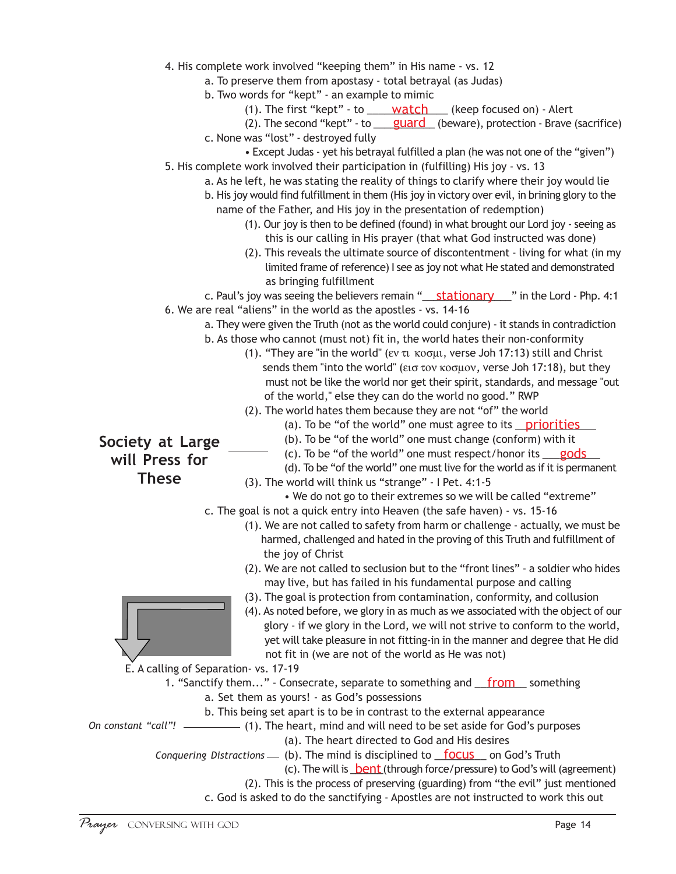|  |  | 4. His complete work involved "keeping them" in His name - vs. 12 |  |  |  |  |  |  |
|--|--|-------------------------------------------------------------------|--|--|--|--|--|--|
|--|--|-------------------------------------------------------------------|--|--|--|--|--|--|

- a. To preserve them from apostasy total betrayal (as Judas)
- b. Two words for "kept" an example to mimic
	- (1). The first "kept" to <u>watch</u> (keep focused on) Alert
- (2). The second "kept" to <u>guard</u> (beware), protection Brave (sacrifice)
- c. None was "lost" destroyed fully
- Except Judas yet his betrayal fulfilled a plan (he was not one of the "given") 5. His complete work involved their participation in (fulfilling) His joy - vs. 13
	- a. As he left, he was stating the reality of things to clarify where their joy would lie
	- b. His joy would find fulfillment in them (His joy in victory over evil, in brining glory to the name of the Father, and His joy in the presentation of redemption)
		- (1). Our joy is then to be defined (found) in what brought our Lord joy seeing as this is our calling in His prayer (that what God instructed was done)
		- (2). This reveals the ultimate source of discontentment living for what (in my limited frame of reference) I see as joy not what He stated and demonstrated as bringing fulfillment

c. Paul's joy was seeing the believers remain "**\_\_\_\_\_\_\_\_\_\_\_\_\_\_\_\_\_\_\_\_\_\_**" in the Lord - Php. 4:1 6. We are real "aliens" in the world as the apostles - vs. 14-16

- a. They were given the Truth (not as the world could conjure) it stands in contradiction b. As those who cannot (must not) fit in, the world hates their non-conformity
	- (1). "They are "in the world" (εν τι κοσμι, verse Joh 17:13) still and Christ sends them "into the world" (εισ τον κοσµον, verse Joh 17:18), but they must not be like the world nor get their spirit, standards, and message "out of the world," else they can do the world no good." RWP
	- (2). The world hates them because they are not "of" the world
		- (a). To be "of the world" one must agree to its **priorities**
		- (b). To be "of the world" one must change (conform) with it
		- (c). To be "of the world" one must respect/honor its  $\qquad \qquad \text{gods}$
		- (d). To be "of the world" one must live for the world as if it is permanent
	- (3). The world will think us "strange" I Pet. 4:1-5
		- We do not go to their extremes so we will be called "extreme"
	- c. The goal is not a quick entry into Heaven (the safe haven) vs. 15-16
		- (1). We are not called to safety from harm or challenge actually, we must be harmed, challenged and hated in the proving of this Truth and fulfillment of the joy of Christ
		- (2). We are not called to seclusion but to the "front lines" a soldier who hides may live, but has failed in his fundamental purpose and calling
		- (3). The goal is protection from contamination, conformity, and collusion
		- (4). As noted before, we glory in as much as we associated with the object of our glory - if we glory in the Lord, we will not strive to conform to the world, yet will take pleasure in not fitting-in in the manner and degree that He did not fit in (we are not of the world as He was not)

E. A calling of Separation- vs. 17-19

1. "Sanctify them..." - Consecrate, separate to something and **from** something a. Set them as yours! - as God's possessions

b. This being set apart is to be in contrast to the external appearance

(1). The heart, mind and will need to be set aside for God's purposes *On constant "call"!* (a). The heart directed to God and His desires

Conquering Distractions  $\qquad$  (b). The mind is disciplined to **focus** on God's Truth

(c). The will is **bent** (through force/pressure) to God's will (agreement)

(2). This is the process of preserving (guarding) from "the evil" just mentioned

c. God is asked to do the sanctifying - Apostles are not instructed to work this out

**Society at Large will Press for These**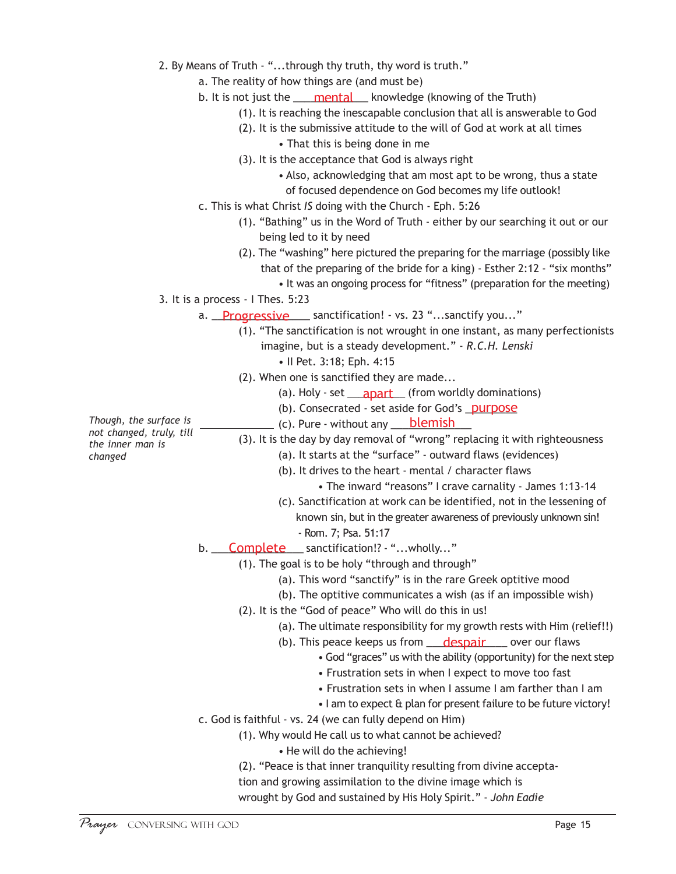- 2. By Means of Truth "...through thy truth, thy word is truth."
	- a. The reality of how things are (and must be)
	- b. It is not just the <u>mental</u> knowledge (knowing of the Truth)
		- (1). It is reaching the inescapable conclusion that all is answerable to God
		- (2). It is the submissive attitude to the will of God at work at all times
			- That this is being done in me
		- (3). It is the acceptance that God is always right

• Also, acknowledging that am most apt to be wrong, thus a state of focused dependence on God becomes my life outlook!

- c. This is what Christ *IS* doing with the Church Eph. 5:26
	- (1). "Bathing" us in the Word of Truth either by our searching it out or our being led to it by need
	- (2). The "washing" here pictured the preparing for the marriage (possibly like that of the preparing of the bride for a king) - Esther 2:12 - "six months"
		- It was an ongoing process for "fitness" (preparation for the meeting)
- 3. It is a process I Thes. 5:23
	- a. Progressive Sanctification! vs. 23 "...sanctify you..."
		- (1). "The sanctification is not wrought in one instant, as many perfectionists imagine, but is a steady development." - *R.C.H. Lenski*
			- II Pet. 3:18; Eph. 4:15
		- (2). When one is sanctified they are made...
			- (a). Holy set  $\overline{a}$  anart (from worldly dominations)
			- (b). Consecrated set aside for God's \_\_\_\_\_\_\_\_\_ purposeapart

(c). Pure - without any **blemish** 

*Though, the surface is not changed, truly, till the inner man is changed*

- (3). It is the day by day removal of "wrong" replacing it with righteousness
	- (a). It starts at the "surface" outward flaws (evidences)
	- (b). It drives to the heart mental / character flaws
		- The inward "reasons" I crave carnality James 1:13-14
	- (c). Sanctification at work can be identified, not in the lessening of known sin, but in the greater awareness of previously unknown sin! - Rom. 7; Psa. 51:17
- b. Complete sanctification!? "...wholly..."
	- (1). The goal is to be holy "through and through"
		- (a). This word "sanctify" is in the rare Greek optitive mood
		- (b). The optitive communicates a wish (as if an impossible wish)
		- (2). It is the "God of peace" Who will do this in us!
			- (a). The ultimate responsibility for my growth rests with Him (relief!!)
			- (b). This peace keeps us from **\_\_\_\_\_\_\_\_\_\_\_\_\_\_\_\_\_\_** over our flaws
				- God "graces" us with the ability (opportunity) for the next step
				- Frustration sets in when I expect to move too fast
				- Frustration sets in when I assume I am farther than I am
				- I am to expect & plan for present failure to be future victory!
- c. God is faithful vs. 24 (we can fully depend on Him)
	- (1). Why would He call us to what cannot be achieved?
		- He will do the achieving!
	- (2). "Peace is that inner tranquility resulting from divine accepta-
	- tion and growing assimilation to the divine image which is
	- wrought by God and sustained by His Holy Spirit." *John Eadie*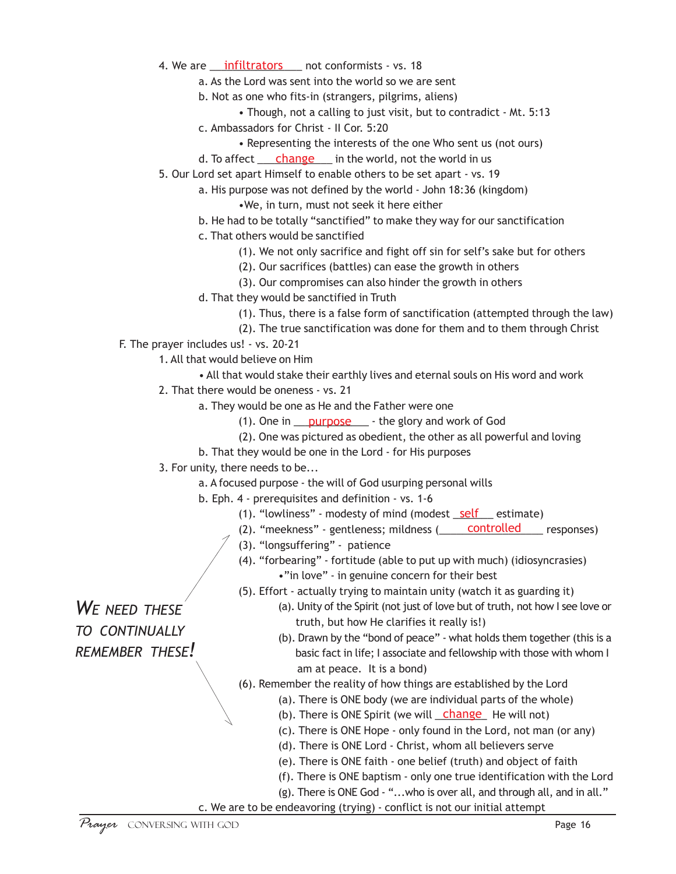- 4. We are \_\_\_\_\_\_\_\_\_\_\_\_\_\_\_\_ not conformists vs. 18 infiltrators
	- a. As the Lord was sent into the world so we are sent
	- b. Not as one who fits-in (strangers, pilgrims, aliens)
		- Though, not a calling to just visit, but to contradict Mt. 5:13
	- c. Ambassadors for Christ II Cor. 5:20
		- Representing the interests of the one Who sent us (not ours)
	- d. To affect <u>change</u> in the world, not the world in us
- 5. Our Lord set apart Himself to enable others to be set apart vs. 19
	- a. His purpose was not defined by the world John 18:36 (kingdom) •We, in turn, must not seek it here either
	- b. He had to be totally "sanctified" to make they way for our sanctification
	- c. That others would be sanctified
		- (1). We not only sacrifice and fight off sin for self's sake but for others
		- (2). Our sacrifices (battles) can ease the growth in others
		- (3). Our compromises can also hinder the growth in others
	- d. That they would be sanctified in Truth
		- (1). Thus, there is a false form of sanctification (attempted through the law)
		- (2). The true sanctification was done for them and to them through Christ
- F. The prayer includes us! vs. 20-21
	- 1. All that would believe on Him
		- All that would stake their earthly lives and eternal souls on His word and work
	- 2. That there would be oneness vs. 21
		- a. They would be one as He and the Father were one
			- (1). One in <u>purpose</u> the glory and work of God
			- (2). One was pictured as obedient, the other as all powerful and loving
		- b. That they would be one in the Lord for His purposes
	- 3. For unity, there needs to be...
		- a. A focused purpose the will of God usurping personal wills
		- b. Eph. 4 prerequisites and definition vs. 1-6
			- (1). "lowliness" modesty of mind (modest self estimate)
			- (2). "meekness" gentleness; mildness (
			subsetted
			controlled
			stream responses)
			- (3). "longsuffering" patience
			- (4). "forbearing" fortitude (able to put up with much) (idiosyncrasies) •"in love" - in genuine concern for their best
			- (5). Effort actually trying to maintain unity (watch it as guarding it)

*WE NEED THESE TO CONTINUALLY*

*REMEMBER THESE!*

- (a). Unity of the Spirit (not just of love but of truth, not how I see love or truth, but how He clarifies it really is!)
- (b). Drawn by the "bond of peace" what holds them together (this is a basic fact in life; I associate and fellowship with those with whom I am at peace. It is a bond)
- (6). Remember the reality of how things are established by the Lord
	- (a). There is ONE body (we are individual parts of the whole)
	- (b). There is ONE Spirit (we will change He will not)
	- (c). There is ONE Hope only found in the Lord, not man (or any)
	- (d). There is ONE Lord Christ, whom all believers serve
	- (e). There is ONE faith one belief (truth) and object of faith
	- (f). There is ONE baptism only one true identification with the Lord
	- (g). There is ONE God "...who is over all, and through all, and in all."
- c. We are to be endeavoring (trying) conflict is not our initial attempt